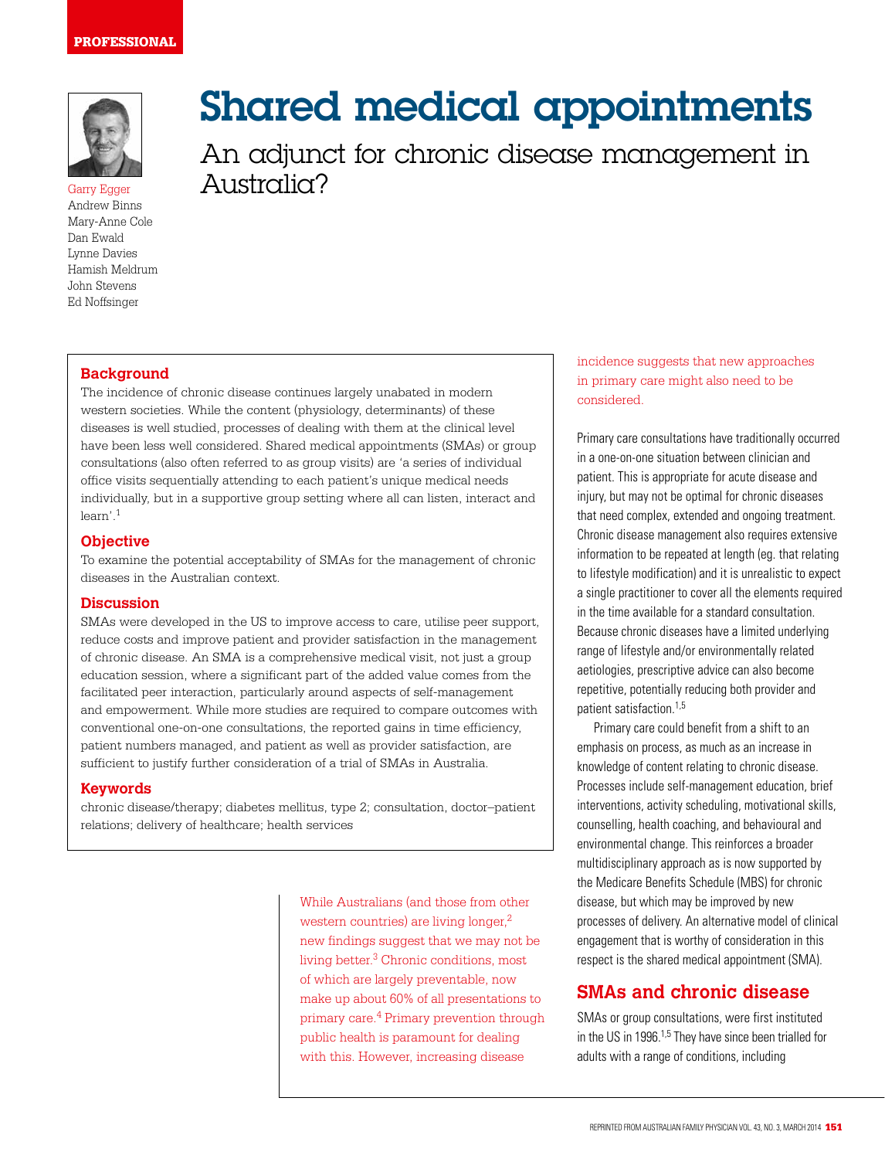

Garry Egger Andrew Binns Mary-Anne Cole Dan Ewald Lynne Davies Hamish Meldrum John Stevens Ed Noffsinger

# Shared medical appointments

An adjunct for chronic disease management in Australia?

## **Background**

The incidence of chronic disease continues largely unabated in modern western societies. While the content (physiology, determinants) of these diseases is well studied, processes of dealing with them at the clinical level have been less well considered. Shared medical appointments (SMAs) or group consultations (also often referred to as group visits) are 'a series of individual office visits sequentially attending to each patient's unique medical needs individually, but in a supportive group setting where all can listen, interact and learn'.1

## **Objective**

To examine the potential acceptability of SMAs for the management of chronic diseases in the Australian context.

## **Discussion**

SMAs were developed in the US to improve access to care, utilise peer support, reduce costs and improve patient and provider satisfaction in the management of chronic disease. An SMA is a comprehensive medical visit, not just a group education session, where a significant part of the added value comes from the facilitated peer interaction, particularly around aspects of self-management and empowerment. While more studies are required to compare outcomes with conventional one-on-one consultations, the reported gains in time efficiency, patient numbers managed, and patient as well as provider satisfaction, are sufficient to justify further consideration of a trial of SMAs in Australia.

#### **Keywords**

chronic disease/therapy; diabetes mellitus, type 2; consultation, doctor–patient relations; delivery of healthcare; health services

> While Australians (and those from other western countries) are living longer,<sup>2</sup> new findings suggest that we may not be living better.3 Chronic conditions, most of which are largely preventable, now make up about 60% of all presentations to primary care.4 Primary prevention through public health is paramount for dealing with this. However, increasing disease

incidence suggests that new approaches in primary care might also need to be considered.

Primary care consultations have traditionally occurred in a one-on-one situation between clinician and patient. This is appropriate for acute disease and injury, but may not be optimal for chronic diseases that need complex, extended and ongoing treatment. Chronic disease management also requires extensive information to be repeated at length (eg. that relating to lifestyle modification) and it is unrealistic to expect a single practitioner to cover all the elements required in the time available for a standard consultation. Because chronic diseases have a limited underlying range of lifestyle and/or environmentally related aetiologies, prescriptive advice can also become repetitive, potentially reducing both provider and patient satisfaction.1,5

Primary care could benefit from a shift to an emphasis on process, as much as an increase in knowledge of content relating to chronic disease. Processes include self-management education, brief interventions, activity scheduling, motivational skills, counselling, health coaching, and behavioural and environmental change. This reinforces a broader multidisciplinary approach as is now supported by the Medicare Benefits Schedule (MBS) for chronic disease, but which may be improved by new processes of delivery. An alternative model of clinical engagement that is worthy of consideration in this respect is the shared medical appointment (SMA).

## **SMAs and chronic disease**

SMAs or group consultations, were first instituted in the US in 1996.<sup>1,5</sup> They have since been trialled for adults with a range of conditions, including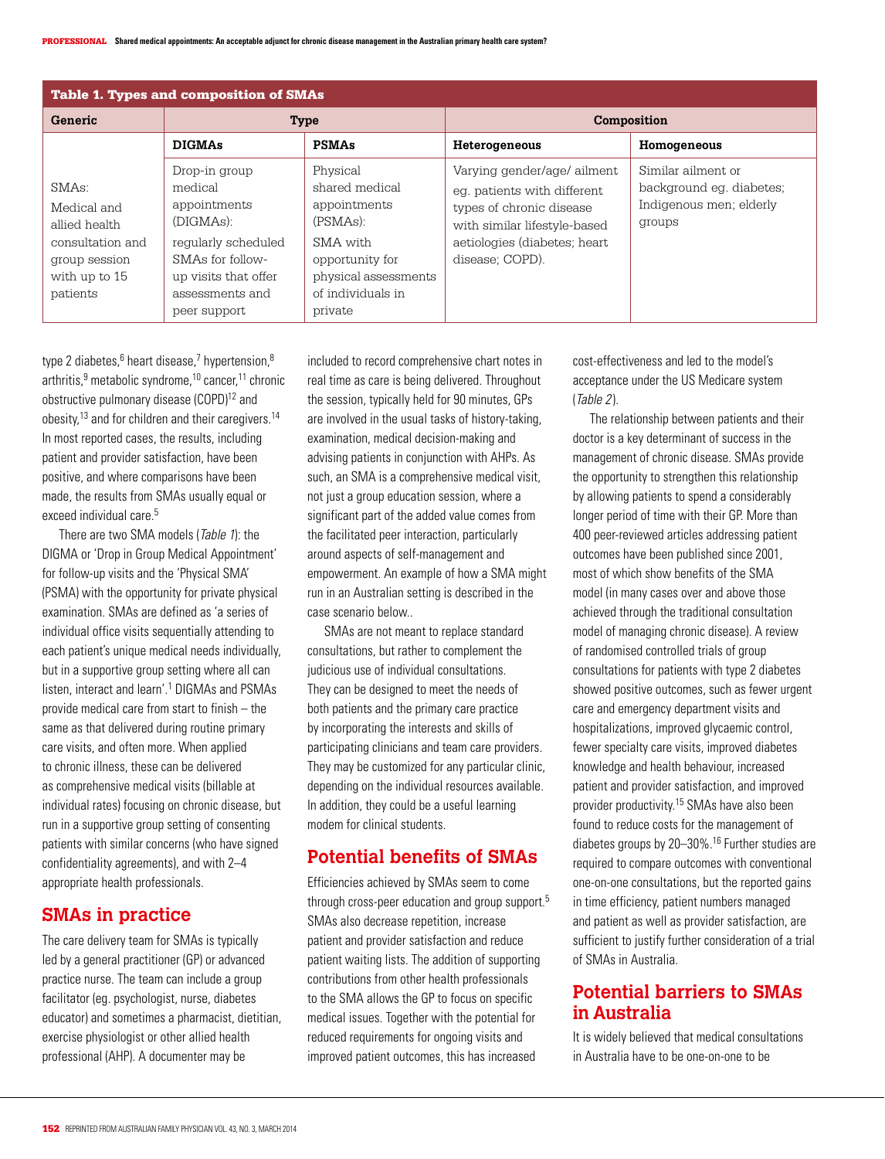| <b>Table 1. Types and composition of SMAs</b>                                                            |                                                                                                                                                             |                                                                                                                                               |                                                                                                                                                                           |                                                                                     |
|----------------------------------------------------------------------------------------------------------|-------------------------------------------------------------------------------------------------------------------------------------------------------------|-----------------------------------------------------------------------------------------------------------------------------------------------|---------------------------------------------------------------------------------------------------------------------------------------------------------------------------|-------------------------------------------------------------------------------------|
| Generic                                                                                                  | <b>Type</b>                                                                                                                                                 |                                                                                                                                               | Composition                                                                                                                                                               |                                                                                     |
|                                                                                                          | <b>DIGMAs</b>                                                                                                                                               | <b>PSMAs</b>                                                                                                                                  | Heterogeneous                                                                                                                                                             | Homogeneous                                                                         |
| SIMAs:<br>Medical and<br>allied health<br>consultation and<br>group session<br>with up to 15<br>patients | Drop-in group<br>medical<br>appointments<br>(DIGMAs):<br>reqularly scheduled<br>SMAs for follow-<br>up visits that offer<br>assessments and<br>peer support | Physical<br>shared medical<br>appointments<br>(PSMAs):<br>SMA with<br>opportunity for<br>physical assessments<br>of individuals in<br>private | Varying gender/age/ ailment<br>eg. patients with different<br>types of chronic disease<br>with similar lifestyle-based<br>aetiologies (diabetes; heart<br>disease; COPD). | Similar ailment or<br>background eg. diabetes;<br>Indigenous men; elderly<br>groups |

type 2 diabetes,<sup>6</sup> heart disease,<sup>7</sup> hypertension,<sup>8</sup> arthritis,<sup>9</sup> metabolic syndrome,<sup>10</sup> cancer,<sup>11</sup> chronic obstructive pulmonary disease (COPD)<sup>12</sup> and obesity,<sup>13</sup> and for children and their caregivers.<sup>14</sup> In most reported cases, the results, including patient and provider satisfaction, have been positive, and where comparisons have been made, the results from SMAs usually equal or exceed individual care.<sup>5</sup>

There are two SMA models (Table 1): the DIGMA or 'Drop in Group Medical Appointment' for follow-up visits and the 'Physical SMA' (PSMA) with the opportunity for private physical examination. SMAs are defined as 'a series of individual office visits sequentially attending to each patient's unique medical needs individually, but in a supportive group setting where all can listen, interact and learn'.<sup>1</sup> DIGMAs and PSMAs provide medical care from start to finish – the same as that delivered during routine primary care visits, and often more. When applied to chronic illness, these can be delivered as comprehensive medical visits (billable at individual rates) focusing on chronic disease, but run in a supportive group setting of consenting patients with similar concerns (who have signed confidentiality agreements), and with 2–4 appropriate health professionals.

## **SMAs in practice**

The care delivery team for SMAs is typically led by a general practitioner (GP) or advanced practice nurse. The team can include a group facilitator (eg. psychologist, nurse, diabetes educator) and sometimes a pharmacist, dietitian, exercise physiologist or other allied health professional (AHP). A documenter may be

included to record comprehensive chart notes in real time as care is being delivered. Throughout the session, typically held for 90 minutes, GPs are involved in the usual tasks of history-taking, examination, medical decision-making and advising patients in conjunction with AHPs. As such, an SMA is a comprehensive medical visit, not just a group education session, where a significant part of the added value comes from the facilitated peer interaction, particularly around aspects of self-management and empowerment. An example of how a SMA might run in an Australian setting is described in the case scenario below..

SMAs are not meant to replace standard consultations, but rather to complement the judicious use of individual consultations. They can be designed to meet the needs of both patients and the primary care practice by incorporating the interests and skills of participating clinicians and team care providers. They may be customized for any particular clinic, depending on the individual resources available. In addition, they could be a useful learning modem for clinical students.

# **Potential benefits of SMAs**

Efficiencies achieved by SMAs seem to come through cross-peer education and group support.<sup>5</sup> SMAs also decrease repetition, increase patient and provider satisfaction and reduce patient waiting lists. The addition of supporting contributions from other health professionals to the SMA allows the GP to focus on specific medical issues. Together with the potential for reduced requirements for ongoing visits and improved patient outcomes, this has increased

cost-effectiveness and led to the model's acceptance under the US Medicare system  $(Table 2)$ .

The relationship between patients and their doctor is a key determinant of success in the management of chronic disease. SMAs provide the opportunity to strengthen this relationship by allowing patients to spend a considerably longer period of time with their GP. More than 400 peer-reviewed articles addressing patient outcomes have been published since 2001, most of which show benefits of the SMA model (in many cases over and above those achieved through the traditional consultation model of managing chronic disease). A review of randomised controlled trials of group consultations for patients with type 2 diabetes showed positive outcomes, such as fewer urgent care and emergency department visits and hospitalizations, improved glycaemic control, fewer specialty care visits, improved diabetes knowledge and health behaviour, increased patient and provider satisfaction, and improved provider productivity.<sup>15</sup> SMAs have also been found to reduce costs for the management of diabetes groups by 20–30%.16 Further studies are required to compare outcomes with conventional one-on-one consultations, but the reported gains in time efficiency, patient numbers managed and patient as well as provider satisfaction, are sufficient to justify further consideration of a trial of SMAs in Australia.

## **Potential barriers to SMAs in Australia**

It is widely believed that medical consultations in Australia have to be one-on-one to be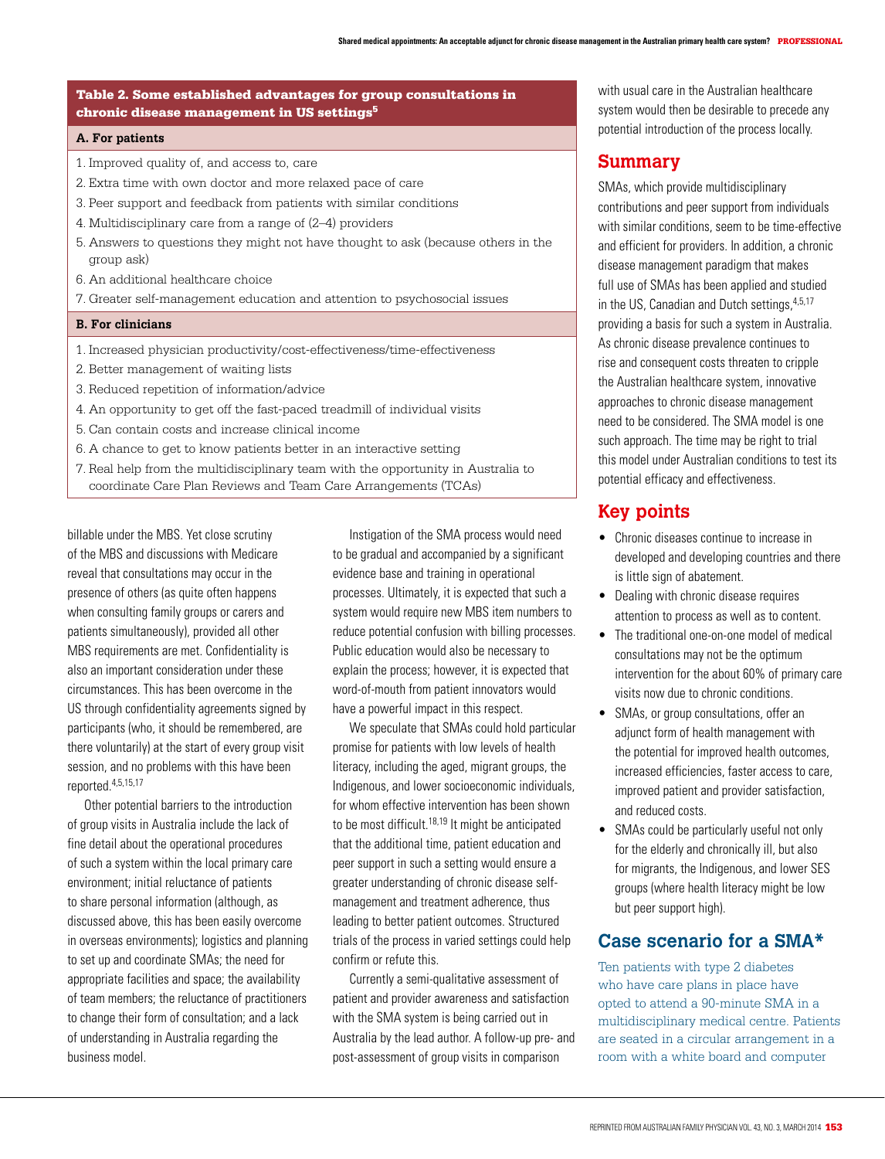#### Table 2. Some established advantages for group consultations in chronic disease management in US settings<sup>5</sup>

#### **A. For patients**

- 1. Improved quality of, and access to, care
- 2. Extra time with own doctor and more relaxed pace of care
- 3. Peer support and feedback from patients with similar conditions
- 4. Multidisciplinary care from a range of (2–4) providers
- 5. Answers to questions they might not have thought to ask (because others in the group ask)
- 6. An additional healthcare choice
- 7. Greater self-management education and attention to psychosocial issues

#### **B. For clinicians**

- 1. Increased physician productivity/cost-effectiveness/time-effectiveness
- 2. Better management of waiting lists
- 3. Reduced repetition of information/advice
- 4. An opportunity to get off the fast-paced treadmill of individual visits
- 5. Can contain costs and increase clinical income
- 6. A chance to get to know patients better in an interactive setting
- 7. Real help from the multidisciplinary team with the opportunity in Australia to coordinate Care Plan Reviews and Team Care Arrangements (TCAs)

billable under the MBS. Yet close scrutiny of the MBS and discussions with Medicare reveal that consultations may occur in the presence of others (as quite often happens when consulting family groups or carers and patients simultaneously), provided all other MBS requirements are met. Confidentiality is also an important consideration under these circumstances. This has been overcome in the US through confidentiality agreements signed by participants (who, it should be remembered, are there voluntarily) at the start of every group visit session, and no problems with this have been reported.4,5,15,17

Other potential barriers to the introduction of group visits in Australia include the lack of fine detail about the operational procedures of such a system within the local primary care environment; initial reluctance of patients to share personal information (although, as discussed above, this has been easily overcome in overseas environments); logistics and planning to set up and coordinate SMAs; the need for appropriate facilities and space; the availability of team members; the reluctance of practitioners to change their form of consultation; and a lack of understanding in Australia regarding the business model.

Instigation of the SMA process would need to be gradual and accompanied by a significant evidence base and training in operational processes. Ultimately, it is expected that such a system would require new MBS item numbers to reduce potential confusion with billing processes. Public education would also be necessary to explain the process; however, it is expected that word-of-mouth from patient innovators would have a powerful impact in this respect.

We speculate that SMAs could hold particular promise for patients with low levels of health literacy, including the aged, migrant groups, the Indigenous, and lower socioeconomic individuals, for whom effective intervention has been shown to be most difficult.<sup>18,19</sup> It might be anticipated that the additional time, patient education and peer support in such a setting would ensure a greater understanding of chronic disease selfmanagement and treatment adherence, thus leading to better patient outcomes. Structured trials of the process in varied settings could help confirm or refute this.

Currently a semi-qualitative assessment of patient and provider awareness and satisfaction with the SMA system is being carried out in Australia by the lead author. A follow-up pre- and post-assessment of group visits in comparison

with usual care in the Australian healthcare system would then be desirable to precede any potential introduction of the process locally.

## **Summary**

SMAs, which provide multidisciplinary contributions and peer support from individuals with similar conditions, seem to be time-effective and efficient for providers. In addition, a chronic disease management paradigm that makes full use of SMAs has been applied and studied in the US, Canadian and Dutch settings, 4,5,17 providing a basis for such a system in Australia. As chronic disease prevalence continues to rise and consequent costs threaten to cripple the Australian healthcare system, innovative approaches to chronic disease management need to be considered. The SMA model is one such approach. The time may be right to trial this model under Australian conditions to test its potential efficacy and effectiveness.

## **Key points**

- Chronic diseases continue to increase in developed and developing countries and there is little sign of abatement.
- Dealing with chronic disease requires attention to process as well as to content.
- The traditional one-on-one model of medical consultations may not be the optimum intervention for the about 60% of primary care visits now due to chronic conditions.
- SMAs, or group consultations, offer an adjunct form of health management with the potential for improved health outcomes, increased efficiencies, faster access to care, improved patient and provider satisfaction, and reduced costs.
- SMAs could be particularly useful not only for the elderly and chronically ill, but also for migrants, the Indigenous, and lower SES groups (where health literacy might be low but peer support high).

# **Case scenario for a SMA\***

Ten patients with type 2 diabetes who have care plans in place have opted to attend a 90-minute SMA in a multidisciplinary medical centre. Patients are seated in a circular arrangement in a room with a white board and computer